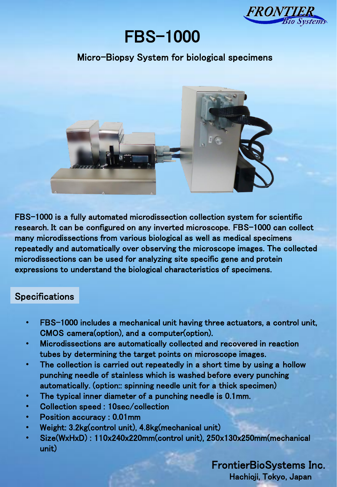

# FBS-1000

### Micro-Biopsy System for biological specimens



FBS-1000 is a fully automated microdissection collection system for scientific research. It can be configured on any inverted microscope. FBS-1000 can collect many microdissections from various biological as well as medical specimens repeatedly and automatically over observing the microscope images. The collected microdissections can be used for analyzing site specific gene and protein expressions to understand the biological characteristics of specimens.

#### **Specifications**

- FBS-1000 includes a mechanical unit having three actuators, a control unit, CMOS camera(option), and a computer(option).
- Microdissections are automatically collected and recovered in reaction tubes by determining the target points on microscope images.
- The collection is carried out repeatedly in a short time by using a hollow punching needle of stainless which is washed before every punching automatically. (option:: spinning needle unit for a thick specimen)
- The typical inner diameter of a punching needle is 0.1mm.
- Collection speed : 10sec/collection
- Position accuracy : 0.01mm
- Weight: 3.2kg(control unit), 4.8kg(mechanical unit)
- Size(WxHxD) : 110x240x220mm(control unit), 250x130x250mm(mechanical unit)

#### FrontierBioSystems Inc. Hachioji, Tokyo, Japan